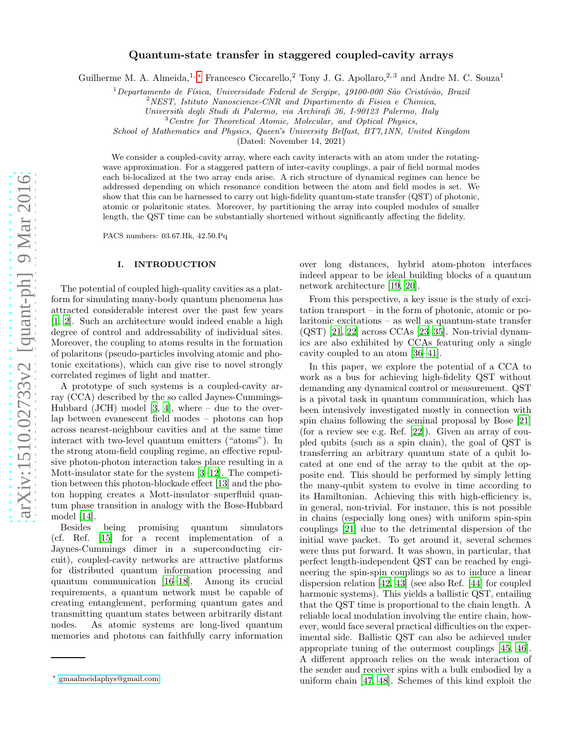## Quantum-state transfer in staggered coupled-cavity arrays

Guilherme M. A. Almeida,<sup>1, \*</sup> Francesco Ciccarello,<sup>2</sup> Tony J. G. Apollaro,<sup>2,3</sup> and Andre M. C. Souza<sup>1</sup>

 $1$ Departamento de Física, Universidade Federal de Sergipe, 49100-000 São Cristóvão, Brazil

 $2$ NEST, Istituto Nanoscienze-CNR and Dipartimento di Fisica e Chimica,

Universita` degli Studi di Palermo, via Archirafi 36, I-90123 Palermo, Italy

<sup>3</sup> Centre for Theoretical Atomic, Molecular, and Optical Physics,

School of Mathematics and Physics, Queen's University Belfast, BT7,1NN, United Kingdom

(Dated: November 14, 2021)

We consider a coupled-cavity array, where each cavity interacts with an atom under the rotatingwave approximation. For a staggered pattern of inter-cavity couplings, a pair of field normal modes each bi-localized at the two array ends arise. A rich structure of dynamical regimes can hence be addressed depending on which resonance condition between the atom and field modes is set. We show that this can be harnessed to carry out high-fidelity quantum-state transfer (QST) of photonic, atomic or polaritonic states. Moreover, by partitioning the array into coupled modules of smaller length, the QST time can be substantially shortened without significantly affecting the fidelity.

PACS numbers: 03.67.Hk, 42.50.Pq

## I. INTRODUCTION

The potential of coupled high-quality cavities as a platform for simulating many-body quantum phenomena has attracted considerable interest over the past few years [\[1,](#page-10-0) [2](#page-10-1)]. Such an architecture would indeed enable a high degree of control and addressability of individual sites. Moreover, the coupling to atoms results in the formation of polaritons (pseudo-particles involving atomic and photonic excitations), which can give rise to novel strongly correlated regimes of light and matter.

A prototype of such systems is a coupled-cavity array (CCA) described by the so called Jaynes-Cummings-Hubbard (JCH) model  $[3, 4]$  $[3, 4]$  $[3, 4]$ , where – due to the overlap between evanescent field modes – photons can hop across nearest-neighbour cavities and at the same time interact with two-level quantum emitters ("atoms"). In the strong atom-field coupling regime, an effective repulsive photon-photon interaction takes place resulting in a Mott-insulator state for the system [\[3](#page-10-2)[–12](#page-10-4)]. The competition between this photon-blockade effect [\[13](#page-10-5)] and the photon hopping creates a Mott-insulator–superfluid quantum phase transition in analogy with the Bose-Hubbard model [\[14](#page-10-6)].

Besides being promising quantum simulators (cf. Ref. [\[15\]](#page-10-7) for a recent implementation of a Jaynes-Cummings dimer in a superconducting circuit), coupled-cavity networks are attractive platforms for distributed quantum information processing and quantum communication [\[16](#page-10-8)[–18\]](#page-10-9). Among its crucial requirements, a quantum network must be capable of creating entanglement, performing quantum gates and transmitting quantum states between arbitrarily distant nodes. As atomic systems are long-lived quantum memories and photons can faithfully carry information

over long distances, hybrid atom-photon interfaces indeed appear to be ideal building blocks of a quantum network architecture [\[19,](#page-10-10) [20\]](#page-10-11).

From this perspective, a key issue is the study of excitation transport – in the form of photonic, atomic or polaritonic excitations – as well as quantum-state transfer (QST) [\[21](#page-10-12), [22\]](#page-10-13) across CCAs [\[23](#page-10-14)[–35\]](#page-10-15). Non-trivial dynamics are also exhibited by CCAs featuring only a single cavity coupled to an atom [\[36](#page-10-16)[–41\]](#page-11-0).

In this paper, we explore the potential of a CCA to work as a bus for achieving high-fidelity QST without demanding any dynamical control or measurement. QST is a pivotal task in quantum communication, which has been intensively investigated mostly in connection with spin chains following the seminal proposal by Bose [\[21](#page-10-12)] (for a review see e.g. Ref. [\[22\]](#page-10-13)). Given an array of coupled qubits (such as a spin chain), the goal of QST is transferring an arbitrary quantum state of a qubit located at one end of the array to the qubit at the opposite end. This should be performed by simply letting the many-qubit system to evolve in time according to its Hamiltonian. Achieving this with high-efficiency is, in general, non-trivial. For instance, this is not possible in chains (especially long ones) with uniform spin-spin couplings [\[21\]](#page-10-12) due to the detrimental dispersion of the initial wave packet. To get around it, several schemes were thus put forward. It was shown, in particular, that perfect length-independent QST can be reached by engineering the spin-spin couplings so as to induce a linear dispersion relation [\[42,](#page-11-1) [43\]](#page-11-2) (see also Ref. [\[44](#page-11-3)] for coupled harmonic systems). This yields a ballistic QST, entailing that the QST time is proportional to the chain length. A reliable local modulation involving the entire chain, however, would face several practical difficulties on the experimental side. Ballistic QST can also be achieved under appropriate tuning of the outermost couplings [\[45,](#page-11-4) [46\]](#page-11-5). A different approach relies on the weak interaction of the sender and receiver spins with a bulk embodied by a uniform chain [\[47,](#page-11-6) [48](#page-11-7)]. Schemes of this kind exploit the

<span id="page-0-0"></span><sup>∗</sup> [gmaalmeidaphys@gmail.com](mailto:gmaalmeidaphys@gmail.com)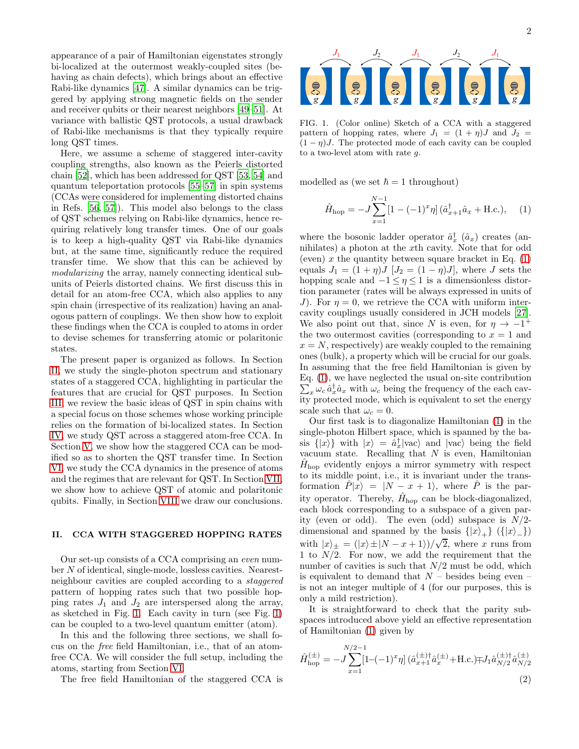appearance of a pair of Hamiltonian eigenstates strongly bi-localized at the outermost weakly-coupled sites (behaving as chain defects), which brings about an effective Rabi-like dynamics [\[47\]](#page-11-6). A similar dynamics can be triggered by applying strong magnetic fields on the sender and receiver qubits or their nearest neighbors [\[49](#page-11-8)[–51](#page-11-9)]. At variance with ballistic QST protocols, a usual drawback of Rabi-like mechanisms is that they typically require long QST times.

Here, we assume a scheme of staggered inter-cavity coupling strengths, also known as the Peierls distorted chain [\[52](#page-11-10)], which has been addressed for QST [\[53,](#page-11-11) [54\]](#page-11-12) and quantum teleportation protocols [\[55](#page-11-13)[–57\]](#page-11-14) in spin systems (CCAs were considered for implementing distorted chains in Refs. [\[56,](#page-11-15) [57](#page-11-14)]). This model also belongs to the class of QST schemes relying on Rabi-like dynamics, hence requiring relatively long transfer times. One of our goals is to keep a high-quality QST via Rabi-like dynamics but, at the same time, significantly reduce the required transfer time. We show that this can be achieved by modularizing the array, namely connecting identical subunits of Peierls distorted chains. We first discuss this in detail for an atom-free CCA, which also applies to any spin chain (irrespective of its realization) having an analogous pattern of couplings. We then show how to exploit these findings when the CCA is coupled to atoms in order to devise schemes for transferring atomic or polaritonic states.

The present paper is organized as follows. In Section [II,](#page-1-0) we study the single-photon spectrum and stationary states of a staggered CCA, highlighting in particular the features that are crucial for QST purposes. In Section [III,](#page-2-0) we review the basic ideas of QST in spin chains with a special focus on those schemes whose working principle relies on the formation of bi-localized states. In Section [IV,](#page-4-0) we study QST across a staggered atom-free CCA. In Section [V,](#page-5-0) we show how the staggered CCA can be modified so as to shorten the QST transfer time. In Section [VI,](#page-6-0) we study the CCA dynamics in the presence of atoms and the regimes that are relevant for QST. In Section [VII,](#page-8-0) we show how to achieve QST of atomic and polaritonic qubits. Finally, in Section [VIII](#page-9-0) we draw our conclusions.

#### <span id="page-1-0"></span>II. CCA WITH STAGGERED HOPPING RATES

Our set-up consists of a CCA comprising an even number N of identical, single-mode, lossless cavities. Nearestneighbour cavities are coupled according to a staggered pattern of hopping rates such that two possible hopping rates  $J_1$  and  $J_2$  are interspersed along the array, as sketched in Fig. [1.](#page-1-1) Each cavity in turn (see Fig. [1\)](#page-1-1) can be coupled to a two-level quantum emitter (atom).

In this and the following three sections, we shall focus on the free field Hamiltonian, i.e., that of an atomfree CCA. We will consider the full setup, including the atoms, starting from Section [VI.](#page-6-0)

The free field Hamiltonian of the staggered CCA is

<span id="page-1-1"></span>FIG. 1. (Color online) Sketch of a CCA with a staggered pattern of hopping rates, where  $J_1 = (1 + n)J$  and  $J_2 =$  $(1 - \eta)J$ . The protected mode of each cavity can be coupled to a two-level atom with rate g.

modelled as (we set  $\hbar = 1$  throughout)

<span id="page-1-2"></span>
$$
\hat{H}_{\text{hop}} = -J \sum_{x=1}^{N-1} \left[ 1 - (-1)^x \eta \right] (\hat{a}_{x+1}^\dagger \hat{a}_x + \text{H.c.}), \quad (1)
$$

where the bosonic ladder operator  $\hat{a}_x^{\dagger}$   $(\hat{a}_x)$  creates (annihilates) a photon at the xth cavity. Note that for odd (even) x the quantity between square bracket in Eq.  $(1)$ equals  $J_1 = (1 + \eta)J$   $[J_2 = (1 - \eta)J]$ , where J sets the hopping scale and  $-1 \leq \eta \leq 1$  is a dimensionless distortion parameter (rates will be always expressed in units of J). For  $\eta = 0$ , we retrieve the CCA with uniform intercavity couplings usually considered in JCH models [\[27\]](#page-10-17). We also point out that, since N is even, for  $\eta \to -1^+$ the two outermost cavities (corresponding to  $x = 1$  and  $x = N$ , respectively) are weakly coupled to the remaining ones (bulk), a property which will be crucial for our goals. In assuming that the free field Hamiltonian is given by Eq. [\(1\)](#page-1-2), we have neglected the usual on-site contribution  $\sum_{x} \omega_c \hat{a}_x^{\dagger} \hat{a}_x$  with  $\omega_c$  being the frequency of the each cavity protected mode, which is equivalent to set the energy scale such that  $\omega_c = 0$ .

Our first task is to diagonalize Hamiltonian [\(1\)](#page-1-2) in the single-photon Hilbert space, which is spanned by the basis  $\{|x\rangle\}$  with  $|x\rangle = \hat{a}_x^{\dagger} |vac\rangle$  and  $|vac\rangle$  being the field vacuum state. Recalling that  $N$  is even, Hamiltonian  $\hat{H}_{\text{hop}}$  evidently enjoys a mirror symmetry with respect to its middle point, i.e., it is invariant under the transformation  $P|x\rangle = |N - x + 1\rangle$ , where P is the parity operator. Thereby,  $\hat{H}_{\text{hop}}$  can be block-diagonalized, each block corresponding to a subspace of a given parity (even or odd). The even (odd) subspace is  $N/2$ dimensional and spanned by the basis  $\{|x\rangle_{\perp}\}\ (|\{x\rangle_{\perp}\})$ with  $|x\rangle_{\pm} = (|x\rangle \pm |N - x + 1\rangle)/\sqrt{2}$ , where x runs from 1 to  $N/2$ . For now, we add the requirement that the number of cavities is such that  $N/2$  must be odd, which is equivalent to demand that  $N -$  besides being even – is not an integer multiple of 4 (for our purposes, this is only a mild restriction).

It is straightforward to check that the parity subspaces introduced above yield an effective representation of Hamiltonian [\(1\)](#page-1-2) given by

<span id="page-1-3"></span>
$$
\hat{H}_{\text{hop}}^{(\pm)} = -J \sum_{x=1}^{N/2-1} [1 - (-1)^x \eta] \left( \hat{a}_{x+1}^{(\pm)} \hat{a}_x^{(\pm)} + \text{H.c.} \right) \mp J_1 \hat{a}_{N/2}^{(\pm) \dagger} \hat{a}_{N/2}^{(\pm)} \tag{2}
$$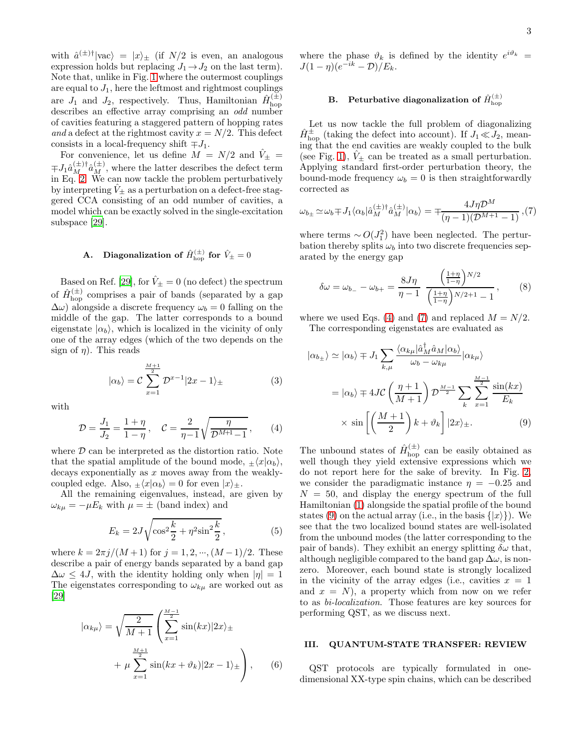with  $\hat{a}^{(\pm)}$  |vac<sub>/</sub> =  $|x\rangle_{\pm}$  (if  $N/2$  is even, an analogous expression holds but replacing  $J_1 \rightarrow J_2$  on the last term). Note that, unlike in Fig. [1](#page-1-1) where the outermost couplings are equal to  $J_1$ , here the leftmost and rightmost couplings are  $J_1$  and  $J_2$ , respectively. Thus, Hamiltonian  $\hat{H}^{(\pm)}_{\text{hop}}$ 

describes an effective array comprising an *odd* number of cavities featuring a staggered pattern of hopping rates and a defect at the rightmost cavity  $x = N/2$ . This defect consists in a local-frequency shift  $\mp J_1$ .

For convenience, let us define  $M = N/2$  and  $\hat{V}_{\pm}$  =  $\mp J_1 \hat{a}_{M}^{(\pm)} \hat{a}_{M}^{(\pm)}$ , where the latter describes the defect term in Eq. [2.](#page-1-3) We can now tackle the problem perturbatively by interpreting  $\hat{V}_{\pm}$  as a perturbation on a defect-free staggered CCA consisting of an odd number of cavities, a model which can be exactly solved in the single-excitation subspace [\[29](#page-10-18)].

# A. Diagonalization of  $\hat{H}^{(\pm)}_{\rm hop}$  for  $\hat{V}_{\pm}=0$

Based on Ref. [\[29](#page-10-18)], for  $\hat{V}_{\pm} = 0$  (no defect) the spectrum of  $\hat{H}_{\text{hop}}^{(\pm)}$  comprises a pair of bands (separated by a gap  $\Delta\omega$ ) alongside a discrete frequency  $\omega_b = 0$  falling on the middle of the gap. The latter corresponds to a bound eigenstate  $|\alpha_b\rangle$ , which is localized in the vicinity of only one of the array edges (which of the two depends on the sign of  $\eta$ ). This reads

<span id="page-2-6"></span>
$$
|\alpha_b\rangle = C \sum_{x=1}^{\frac{M+1}{2}} \mathcal{D}^{x-1} |2x - 1\rangle_{\pm}
$$
 (3)

with

<span id="page-2-1"></span>
$$
\mathcal{D} = \frac{J_1}{J_2} = \frac{1+\eta}{1-\eta}, \quad \mathcal{C} = \frac{2}{\eta-1} \sqrt{\frac{\eta}{\mathcal{D}^{M+1}-1}}, \quad (4)
$$

where  $D$  can be interpreted as the distortion ratio. Note that the spatial amplitude of the bound mode,  $\pm \langle x | \alpha_b \rangle$ , decays exponentially as  $x$  moves away from the weaklycoupled edge. Also,  $\pm \langle x | \alpha_b \rangle = 0$  for even  $|x\rangle_{\pm}$ .

All the remaining eigenvalues, instead, are given by  $\omega_{k\mu} = -\mu E_k$  with  $\mu = \pm$  (band index) and

$$
E_k = 2J\sqrt{\cos^2\frac{k}{2} + \eta^2 \sin^2\frac{k}{2}},
$$
 (5)

where  $k = 2\pi j/(M+1)$  for  $j = 1, 2, ..., (M-1)/2$ . These describe a pair of energy bands separated by a band gap  $\Delta\omega \leq 4J$ , with the identity holding only when  $|\eta| = 1$ The eigenstates corresponding to  $\omega_{k\mu}$  are worked out as [\[29\]](#page-10-18)

$$
|\alpha_{k\mu}\rangle = \sqrt{\frac{2}{M+1}} \left( \sum_{x=1}^{\frac{M-1}{2}} \sin(kx) |2x\rangle_{\pm} + \mu \sum_{x=1}^{\frac{M+1}{2}} \sin(kx + \vartheta_k) |2x - 1\rangle_{\pm} \right), \qquad (6)
$$

where the phase  $\vartheta_k$  is defined by the identity  $e^{i\vartheta_k}$  =  $J(1-\eta)(e^{-ik}-\mathcal{D})/E_k.$ 

# <span id="page-2-5"></span>B. Peturbative diagonalization of  $\hat{H}^{(\pm)}_{\rm hop}$

Let us now tackle the full problem of diagonalizing  $\hat{H}_{\text{hop}}^{\pm}$  (taking the defect into account). If  $J_1 \ll J_2$ , meaning that the end cavities are weakly coupled to the bulk (see Fig. [1\)](#page-1-1),  $V_{\pm}$  can be treated as a small perturbation. Applying standard first-order perturbation theory, the bound-mode frequency  $\omega_b = 0$  is then straightforwardly corrected as

<span id="page-2-2"></span>
$$
\omega_{b\pm} \simeq \omega_b \mp J_1 \langle \alpha_b | \hat{a}_M^{(\pm)} \hat{a}_M^{(\pm)} | \alpha_b \rangle = \mp \frac{4J\eta \mathcal{D}^M}{(\eta - 1)(\mathcal{D}^{M+1} - 1)}, (7)
$$

where terms  $\sim O(J_1^2)$  have been neglected. The perturbation thereby splits  $\omega_b$  into two discrete frequencies separated by the energy gap

<span id="page-2-4"></span>
$$
\delta\omega = \omega_{b-} - \omega_{b+} = \frac{8J\eta}{\eta - 1} \frac{\left(\frac{1+\eta}{1-\eta}\right)^{N/2}}{\left(\frac{1+\eta}{1-\eta}\right)^{N/2+1} - 1},\qquad(8)
$$

where we used Eqs. [\(4\)](#page-2-1) and [\(7\)](#page-2-2) and replaced  $M = N/2$ . The corresponding eigenstates are evaluated as

$$
|\alpha_{b\pm}\rangle \simeq |\alpha_b\rangle \mp J_1 \sum_{k,\mu} \frac{\langle \alpha_{k\mu} |\hat{a}_{M}^{\dagger} \hat{a}_{M} | \alpha_{b} \rangle}{\omega_b - \omega_{k\mu}} |\alpha_{k\mu}\rangle
$$

$$
= |\alpha_b\rangle \mp 4J\mathcal{C} \left(\frac{\eta + 1}{M + 1}\right) \mathcal{D}^{\frac{M-1}{2}} \sum_{k} \sum_{x=1}^{\frac{M-1}{2}} \frac{\sin(kx)}{E_k}
$$

$$
\times \sin\left[\left(\frac{M+1}{2}\right)k + \vartheta_k\right] |2x\rangle \pm . \tag{9}
$$

<span id="page-2-3"></span>The unbound states of  $\hat{H}_{\text{hop}}^{(\pm)}$  can be easily obtained as well though they yield extensive expressions which we do not report here for the sake of brevity. In Fig. [2,](#page-3-0) we consider the paradigmatic instance  $\eta = -0.25$  and  $N = 50$ , and display the energy spectrum of the full Hamiltonian [\(1\)](#page-1-2) alongside the spatial profile of the bound states [\(9\)](#page-2-3) on the actual array (i.e., in the basis  $\{|x\rangle\}$ ). We see that the two localized bound states are well-isolated from the unbound modes (the latter corresponding to the pair of bands). They exhibit an energy splitting  $\delta\omega$  that, although negligible compared to the band gap  $\Delta\omega$ , is nonzero. Moreover, each bound state is strongly localized in the vicinity of the array edges (i.e., cavities  $x = 1$ and  $x = N$ , a property which from now on we refer to as bi-localization. Those features are key sources for performing QST, as we discuss next.

#### <span id="page-2-0"></span>III. QUANTUM-STATE TRANSFER: REVIEW

QST protocols are typically formulated in onedimensional XX-type spin chains, which can be described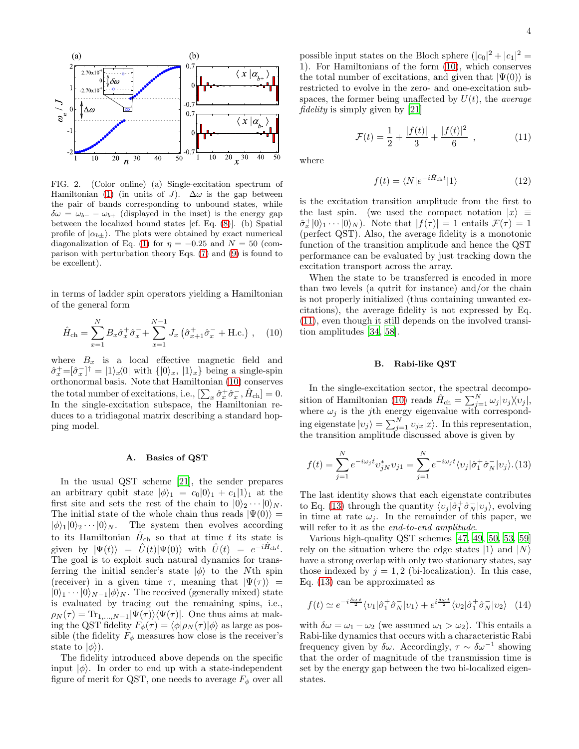

<span id="page-3-0"></span>FIG. 2. (Color online) (a) Single-excitation spectrum of Hamiltonian [\(1\)](#page-1-2) (in units of J).  $\Delta\omega$  is the gap between the pair of bands corresponding to unbound states, while  $\delta\omega = \omega_{b-} - \omega_{b+}$  (displayed in the inset) is the energy gap between the localized bound states [cf. Eq. [\(8\)](#page-2-4)]. (b) Spatial profile of  $|\alpha_{b\pm}\rangle$ . The plots were obtained by exact numerical diagonalization of Eq. [\(1\)](#page-1-2) for  $\eta = -0.25$  and  $N = 50$  (comparison with perturbation theory Eqs. [\(7\)](#page-2-2) and [\(9\)](#page-2-3) is found to be excellent).

in terms of ladder spin operators yielding a Hamiltonian of the general form

<span id="page-3-1"></span>
$$
\hat{H}_{\text{ch}} = \sum_{x=1}^{N} B_x \hat{\sigma}_x^+ \hat{\sigma}_x^- + \sum_{x=1}^{N-1} J_x \left( \hat{\sigma}_{x+1}^+ \hat{\sigma}_x^- + \text{H.c.} \right) , \quad (10)
$$

where  $B_x$  is a local effective magnetic field and  $\hat{\sigma}_x^+ = [\hat{\sigma}_x^-]^\dagger = |1\rangle_x\langle 0|$  with  $\{|0\rangle_x, |1\rangle_x\}$  being a single-spin orthonormal basis. Note that Hamiltonian [\(10\)](#page-3-1) conserves the total number of excitations, i.e.,  $[\sum_{x} \hat{\sigma}_x^+ \hat{\sigma}_x^-, \hat{H}_{ch}] = 0.$ In the single-excitation subspace, the Hamiltonian reduces to a tridiagonal matrix describing a standard hopping model.

#### <span id="page-3-4"></span>A. Basics of QST

In the usual QST scheme [\[21\]](#page-10-12), the sender prepares an arbitrary qubit state  $|\phi\rangle_1 = c_0|0\rangle_1 + c_1|1\rangle_1$  at the first site and sets the rest of the chain to  $|0\rangle_2 \cdots |0\rangle_N$ . The initial state of the whole chain thus reads  $|\Psi(0)\rangle$  =  $|\phi\rangle_1|0\rangle_2\cdots|0\rangle_N$ . The system then evolves according to its Hamiltonian  $\hat{H}_{ch}$  so that at time t its state is given by  $|\Psi(t)\rangle = \hat{U}(t)|\Psi(0)\rangle$  with  $\hat{U}(t) = e^{-i\hat{H}_{\text{ch}}t}$ . The goal is to exploit such natural dynamics for transferring the initial sender's state  $|\phi\rangle$  to the Nth spin (receiver) in a given time  $\tau$ , meaning that  $|\Psi(\tau)\rangle$  =  $|0\rangle_1 \cdots |0\rangle_{N-1} |\phi\rangle_N$ . The received (generally mixed) state is evaluated by tracing out the remaining spins, i.e.,  $\rho_N(\tau) = \text{Tr}_{1,...,N-1}|\Psi(\tau)\rangle\langle\Psi(\tau)|.$  One thus aims at making the QST fidelity  $F_{\phi}(\tau) = \langle \phi | \rho_N (\tau) | \phi \rangle$  as large as possible (the fidelity  $F_{\phi}$  measures how close is the receiver's state to  $|\phi\rangle$ ).

The fidelity introduced above depends on the specific input  $|\phi\rangle$ . In order to end up with a state-independent figure of merit for QST, one needs to average  $F_{\phi}$  over all

possible input states on the Bloch sphere  $(|c_0|^2 + |c_1|^2 =$ 1). For Hamiltonians of the form [\(10\)](#page-3-1), which conserves the total number of excitations, and given that  $|\Psi(0)\rangle$  is restricted to evolve in the zero- and one-excitation subspaces, the former being unaffected by  $U(t)$ , the *average* fidelity is simply given by [\[21\]](#page-10-12)

<span id="page-3-2"></span>
$$
\mathcal{F}(t) = \frac{1}{2} + \frac{|f(t)|}{3} + \frac{|f(t)|^2}{6} , \qquad (11)
$$

where

$$
f(t) = \langle N|e^{-i\hat{H}_{\text{ch}}t}|1\rangle \tag{12}
$$

is the excitation transition amplitude from the first to the last spin. (we used the compact notation  $|x\rangle \equiv$  $\hat{\sigma}_x^+|0\rangle_1\cdots|0\rangle_N$ . Note that  $|f(\tau)|=1$  entails  $\mathcal{F}(\tau)=1$ (perfect QST). Also, the average fidelity is a monotonic function of the transition amplitude and hence the QST performance can be evaluated by just tracking down the excitation transport across the array.

When the state to be transferred is encoded in more than two levels (a qutrit for instance) and/or the chain is not properly initialized (thus containing unwanted excitations), the average fidelity is not expressed by Eq. [\(11\)](#page-3-2), even though it still depends on the involved transition amplitudes [\[34](#page-10-19), [58](#page-11-16)].

#### <span id="page-3-5"></span>B. Rabi-like QST

In the single-excitation sector, the spectral decompo-sition of Hamiltonian [\(10\)](#page-3-1) reads  $\hat{H}_{\text{ch}} = \sum_{j=1}^{N} \omega_j |v_j \rangle \langle v_j |,$ where  $\omega_j$  is the *j*th energy eigenvalue with corresponding eigenstate  $|v_j\rangle = \sum_{j=1}^{N} v_{jx}|x\rangle$ . In this representation, the transition amplitude discussed above is given by

<span id="page-3-3"></span>
$$
f(t) = \sum_{j=1}^{N} e^{-i\omega_j t} v_{jN}^* v_{j1} = \sum_{j=1}^{N} e^{-i\omega_j t} \langle v_j | \hat{\sigma}_1^+ \hat{\sigma}_N^- | v_j \rangle
$$
 (13)

The last identity shows that each eigenstate contributes to Eq. [\(13\)](#page-3-3) through the quantity  $\langle v_j | \hat{\sigma}_1^+ \hat{\sigma}_N^- | v_j \rangle$ , evolving in time at rate  $\omega_j$ . In the remainder of this paper, we will refer to it as the *end-to-end amplitude*.

Various high-quality QST schemes [\[47](#page-11-6), [49,](#page-11-8) [50,](#page-11-17) [53,](#page-11-11) [59](#page-11-18)] rely on the situation where the edge states  $|1\rangle$  and  $|N\rangle$ have a strong overlap with only two stationary states, say those indexed by  $j = 1, 2$  (bi-localization). In this case, Eq. [\(13\)](#page-3-3) can be approximated as

<span id="page-3-6"></span>
$$
f(t) \simeq e^{-i\frac{\delta\omega t}{2}} \langle v_1 | \hat{\sigma}_1^+ \hat{\sigma}_N^- | v_1 \rangle + e^{i\frac{\delta\omega t}{2}} \langle v_2 | \hat{\sigma}_1^+ \hat{\sigma}_N^- | v_2 \rangle \quad (14)
$$

with  $\delta \omega = \omega_1 - \omega_2$  (we assumed  $\omega_1 > \omega_2$ ). This entails a Rabi-like dynamics that occurs with a characteristic Rabi frequency given by  $\delta \omega$ . Accordingly,  $\tau \sim \delta \omega^{-1}$  showing that the order of magnitude of the transmission time is set by the energy gap between the two bi-localized eigenstates.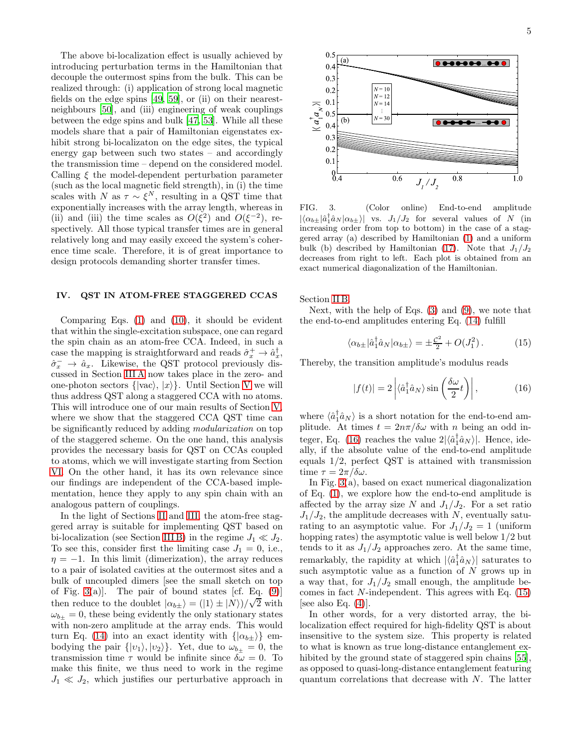The above bi-localization effect is usually achieved by introducing perturbation terms in the Hamiltonian that decouple the outermost spins from the bulk. This can be realized through: (i) application of strong local magnetic fields on the edge spins [\[49,](#page-11-8) [59](#page-11-18)], or (ii) on their nearestneighbours [\[50\]](#page-11-17), and (iii) engineering of weak couplings between the edge spins and bulk [\[47,](#page-11-6) [53\]](#page-11-11). While all these models share that a pair of Hamiltonian eigenstates exhibit strong bi-localizaton on the edge sites, the typical energy gap between such two states – and accordingly the transmission time – depend on the considered model. Calling  $\xi$  the model-dependent perturbation parameter (such as the local magnetic field strength), in (i) the time scales with N as  $\tau \sim \xi^N$ , resulting in a QST time that exponentially increases with the array length, whereas in (ii) and (iii) the time scales as  $O(\xi^2)$  and  $O(\xi^{-2})$ , respectively. All those typical transfer times are in general relatively long and may easily exceed the system's coherence time scale. Therefore, it is of great importance to design protocols demanding shorter transfer times.

## <span id="page-4-0"></span>IV. QST IN ATOM-FREE STAGGERED CCAS

Comparing Eqs. [\(1\)](#page-1-2) and [\(10\)](#page-3-1), it should be evident that within the single-excitation subspace, one can regard the spin chain as an atom-free CCA. Indeed, in such a case the mapping is straightforward and reads  $\hat{\sigma}_x^+ \to \hat{a}_x^{\dagger}$ ,  $\hat{\sigma}_x^- \to \hat{a}_x$ . Likewise, the QST protocol previously discussed in Section [III A](#page-3-4) now takes place in the zero- and one-photon sectors  $\{ |vac\rangle, |x\rangle \}$ . Until Section [V](#page-5-0) we will thus address QST along a staggered CCA with no atoms. This will introduce one of our main results of Section [V,](#page-5-0) where we show that the staggered CCA QST time can be significantly reduced by adding modularization on top of the staggered scheme. On the one hand, this analysis provides the necessary basis for QST on CCAs coupled to atoms, which we will investigate starting from Section [VI.](#page-6-0) On the other hand, it has its own relevance since our findings are independent of the CCA-based implementation, hence they apply to any spin chain with an analogous pattern of couplings.

In the light of Sections [II](#page-1-0) and [III,](#page-2-0) the atom-free staggered array is suitable for implementing QST based on bi-localization (see Section [III B\)](#page-3-5) in the regime  $J_1 \ll J_2$ . To see this, consider first the limiting case  $J_1 = 0$ , i.e.,  $\eta = -1$ . In this limit (dimerization), the array reduces to a pair of isolated cavities at the outermost sites and a bulk of uncoupled dimers [see the small sketch on top of Fig. [3\(](#page-4-1)a)]. The pair of bound states [cf. Eq.  $(9)$ ] then reduce to the doublet  $|\alpha_{b\pm}\rangle = (|1\rangle \pm |N\rangle)/\sqrt{2}$  with  $\omega_{b+} = 0$ , these being evidently the only stationary states with non-zero amplitude at the array ends. This would turn Eq. [\(14\)](#page-3-6) into an exact identity with  $\{|\alpha_{b\pm}\rangle\}$  embodying the pair  $\{|v_1\rangle, |v_2\rangle\}$ . Yet, due to  $\omega_{b_{+}} = 0$ , the transmission time  $\tau$  would be infinite since  $\delta \omega = 0$ . To make this finite, we thus need to work in the regime  $J_1 \ll J_2$ , which justifies our perturbative approach in



<span id="page-4-1"></span>FIG. 3. (Color online) End-to-end amplitude  $|\langle \alpha_{b\pm} | \hat{a}^\dagger_1 \hat{a}_N | \alpha_{b\pm} \rangle|$  vs.  $J_1/J_2$  for several values of N (in increasing order from top to bottom) in the case of a staggered array (a) described by Hamiltonian [\(1\)](#page-1-2) and a uniform bulk (b) described by Hamiltonian [\(17\)](#page-5-1). Note that  $J_1/J_2$ decreases from right to left. Each plot is obtained from an exact numerical diagonalization of the Hamiltonian.

Section [II B.](#page-2-5)

Next, with the help of Eqs.  $(3)$  and  $(9)$ , we note that the end-to-end amplitudes entering Eq. [\(14\)](#page-3-6) fulfill

<span id="page-4-3"></span>
$$
\langle \alpha_{b\pm} | \hat{a}_1^\dagger \hat{a}_N | \alpha_{b\pm} \rangle = \pm \frac{\mathcal{C}^2}{2} + O(J_1^2) \,. \tag{15}
$$

Thereby, the transition amplitude's modulus reads

<span id="page-4-2"></span>
$$
|f(t)| = 2 \left| \langle \hat{a}_1^\dagger \hat{a}_N \rangle \sin\left(\frac{\delta \omega}{2} t\right) \right|,\tag{16}
$$

where  $\langle \hat{a}_1^{\dagger} \hat{a}_N \rangle$  is a short notation for the end-to-end amplitude. At times  $t = 2n\pi/\delta\omega$  with n being an odd in-teger, Eq. [\(16\)](#page-4-2) reaches the value  $2|\langle \hat{a}_1^{\dagger} \hat{a}_N \rangle|$ . Hence, ideally, if the absolute value of the end-to-end amplitude equals 1/2, perfect QST is attained with transmission time  $\tau = 2\pi/\delta\omega$ .

In Fig. [3\(](#page-4-1)a), based on exact numerical diagonalization of Eq. [\(1\)](#page-1-2), we explore how the end-to-end amplitude is affected by the array size N and  $J_1/J_2$ . For a set ratio  $J_1/J_2$ , the amplitude decreases with N, eventually saturating to an asymptotic value. For  $J_1/J_2 = 1$  (uniform hopping rates) the asymptotic value is well below 1/2 but tends to it as  $J_1/J_2$  approaches zero. At the same time, remarkably, the rapidity at which  $|\langle \hat{a}_1^{\dagger} \hat{a}_N \rangle|$  saturates to such asymptotic value as a function of  $N$  grows up in a way that, for  $J_1/J_2$  small enough, the amplitude becomes in fact  $N$ -independent. This agrees with Eq.  $(15)$ [see also Eq.  $(4)$ ].

In other words, for a very distorted array, the bilocalization effect required for high-fidelity QST is about insensitive to the system size. This property is related to what is known as true long-distance entanglement ex-hibited by the ground state of staggered spin chains [\[55\]](#page-11-13), as opposed to quasi-long-distance entanglement featuring quantum correlations that decrease with N. The latter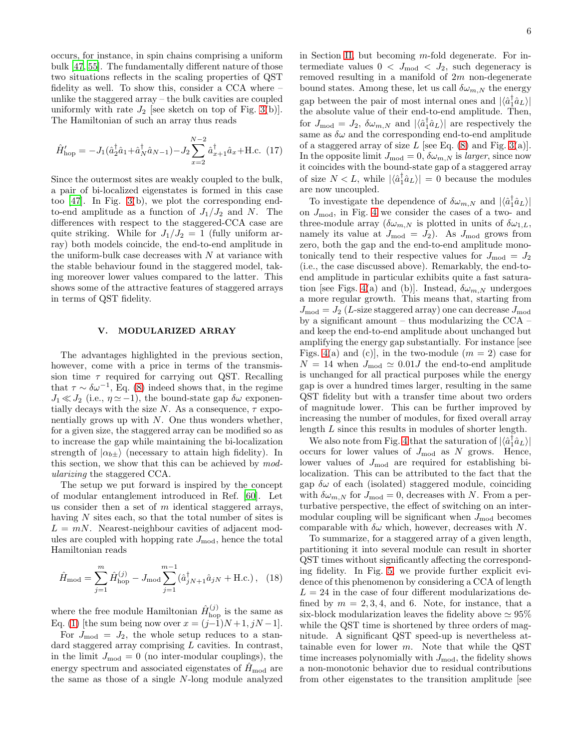occurs, for instance, in spin chains comprising a uniform bulk [\[47](#page-11-6), [55](#page-11-13)]. The fundamentally different nature of those two situations reflects in the scaling properties of QST fidelity as well. To show this, consider a CCA where – unlike the staggered array – the bulk cavities are coupled uniformly with rate  $J_2$  [see sketch on top of Fig. [3\(](#page-4-1)b)]. The Hamiltonian of such an array thus reads

<span id="page-5-1"></span>
$$
\hat{H}_{\text{hop}}' = -J_1(\hat{a}_2^{\dagger} \hat{a}_1 + \hat{a}_N^{\dagger} \hat{a}_{N-1}) - J_2 \sum_{x=2}^{N-2} \hat{a}_{x+1}^{\dagger} \hat{a}_x + \text{H.c.} (17)
$$

Since the outermost sites are weakly coupled to the bulk, a pair of bi-localized eigenstates is formed in this case too [\[47](#page-11-6)]. In Fig. [3\(](#page-4-1)b), we plot the corresponding endto-end amplitude as a function of  $J_1/J_2$  and N. The differences with respect to the staggered-CCA case are quite striking. While for  $J_1/J_2 = 1$  (fully uniform array) both models coincide, the end-to-end amplitude in the uniform-bulk case decreases with  $N$  at variance with the stable behaviour found in the staggered model, taking moreover lower values compared to the latter. This shows some of the attractive features of staggered arrays in terms of QST fidelity.

### <span id="page-5-0"></span>V. MODULARIZED ARRAY

The advantages highlighted in the previous section, however, come with a price in terms of the transmission time  $\tau$  required for carrying out QST. Recalling that  $\tau \sim \delta \omega^{-1}$ , Eq. [\(8\)](#page-2-4) indeed shows that, in the regime  $J_1 \ll J_2$  (i.e.,  $\eta \approx -1$ ), the bound-state gap  $\delta \omega$  exponentially decays with the size N. As a consequence,  $\tau$  exponentially grows up with  $N$ . One thus wonders whether, for a given size, the staggered array can be modified so as to increase the gap while maintaining the bi-localization strength of  $|\alpha_{b\pm}\rangle$  (necessary to attain high fidelity). In this section, we show that this can be achieved by modularizing the staggered CCA.

The setup we put forward is inspired by the concept of modular entanglement introduced in Ref. [\[60](#page-11-19)]. Let us consider then a set of  $m$  identical staggered arrays, having N sites each, so that the total number of sites is  $L = mN$ . Nearest-neighbour cavities of adjacent modules are coupled with hopping rate  $J_{\text{mod}}$ , hence the total Hamiltonian reads

<span id="page-5-2"></span>
$$
\hat{H}_{\text{mod}} = \sum_{j=1}^{m} \hat{H}_{\text{hop}}^{(j)} - J_{\text{mod}} \sum_{j=1}^{m-1} (\hat{a}_{jN+1}^{\dagger} \hat{a}_{jN} + \text{H.c.}), \tag{18}
$$

where the free module Hamiltonian  $\hat{H}_{\text{hop}}^{(j)}$  is the same as Eq. [\(1\)](#page-1-2) [the sum being now over  $x = (j-1)N+1, jN-1$ ].

For  $J_{\text{mod}} = J_2$ , the whole setup reduces to a standard staggered array comprising L cavities. In contrast, in the limit  $J_{\text{mod}} = 0$  (no inter-modular couplings), the energy spectrum and associated eigenstates of  $H_{\text{mod}}$  are the same as those of a single N-long module analyzed

in Section [II,](#page-1-0) but becoming  $m$ -fold degenerate. For intermediate values  $0 < J_{\text{mod}} < J_2$ , such degeneracy is removed resulting in a manifold of  $2m$  non-degenerate bound states. Among these, let us call  $\delta \omega_{m,N}$  the energy gap between the pair of most internal ones and  $|\langle \hat{a}_1^{\dagger} \hat{a}_L \rangle|$ the absolute value of their end-to-end amplitude. Then, for  $J_{\text{mod}} = J_2$ ,  $\delta \omega_{m,N}$  and  $|\langle \hat{a}_1^{\dagger} \hat{a}_L \rangle|$  are respectively the same as  $\delta\omega$  and the corresponding end-to-end amplitude of a staggered array of size  $L$  [see Eq. [\(8\)](#page-2-4) and Fig. [3\(](#page-4-1)a)]. In the opposite limit  $J_{\text{mod}} = 0$ ,  $\delta \omega_{m,N}$  is *larger*, since now it coincides with the bound-state gap of a staggered array of size  $N < L$ , while  $|\langle \hat{a}_1^{\dagger} \hat{a}_L \rangle| = 0$  because the modules are now uncoupled.

To investigate the dependence of  $\delta \omega_{m,N}$  and  $|\langle \hat{a}_1^{\dagger} \hat{a}_L \rangle|$ on  $J_{\text{mod}}$ , in Fig. [4](#page-6-1) we consider the cases of a two- and three-module array ( $\delta \omega_{m,N}$  is plotted in units of  $\delta \omega_{1,L}$ , namely its value at  $J_{\text{mod}} = J_2$ ). As  $J_{\text{mod}}$  grows from zero, both the gap and the end-to-end amplitude monotonically tend to their respective values for  $J_{\text{mod}} = J_2$ (i.e., the case discussed above). Remarkably, the end-toend amplitude in particular exhibits quite a fast satura-tion [see Figs. [4\(](#page-6-1)a) and (b)]. Instead,  $\delta \omega_{m,N}$  undergoes a more regular growth. This means that, starting from  $J_{\text{mod}} = J_2$  (L-size staggered array) one can decrease  $J_{\text{mod}}$ by a significant amount – thus modularizing the CCA – and keep the end-to-end amplitude about unchanged but amplifying the energy gap substantially. For instance [see Figs. [4\(](#page-6-1)a) and (c)], in the two-module  $(m = 2)$  case for  $N = 14$  when  $J_{\text{mod}} \simeq 0.01J$  the end-to-end amplitude is unchanged for all practical purposes while the energy gap is over a hundred times larger, resulting in the same QST fidelity but with a transfer time about two orders of magnitude lower. This can be further improved by increasing the number of modules, for fixed overall array length L since this results in modules of shorter length.

We also note from Fig. [4](#page-6-1) that the saturation of  $|\langle \hat{a}_1^{\dagger} \hat{a}_L \rangle|$ occurs for lower values of  $J_{\text{mod}}$  as N grows. Hence, lower values of  $J_{\text{mod}}$  are required for establishing bilocalization. This can be attributed to the fact that the gap  $\delta\omega$  of each (isolated) staggered module, coinciding with  $\delta \omega_{m,N}$  for  $J_{\text{mod}} = 0$ , decreases with N. From a perturbative perspective, the effect of switching on an intermodular coupling will be significant when  $J_{\text{mod}}$  becomes comparable with  $\delta\omega$  which, however, decreases with N.

To summarize, for a staggered array of a given length, partitioning it into several module can result in shorter QST times without significantly affecting the corresponding fidelity. In Fig. [5,](#page-6-2) we provide further explicit evidence of this phenomenon by considering a CCA of length  $L = 24$  in the case of four different modularizations defined by  $m = 2, 3, 4$ , and 6. Note, for instance, that a six-block modularization leaves the fidelity above  $\simeq 95\%$ while the QST time is shortened by three orders of magnitude. A significant QST speed-up is nevertheless attainable even for lower  $m$ . Note that while the QST time increases polynomially with  $J_{\text{mod}}$ , the fidelity shows a non-monotonic behavior due to residual contributions from other eigenstates to the transition amplitude [see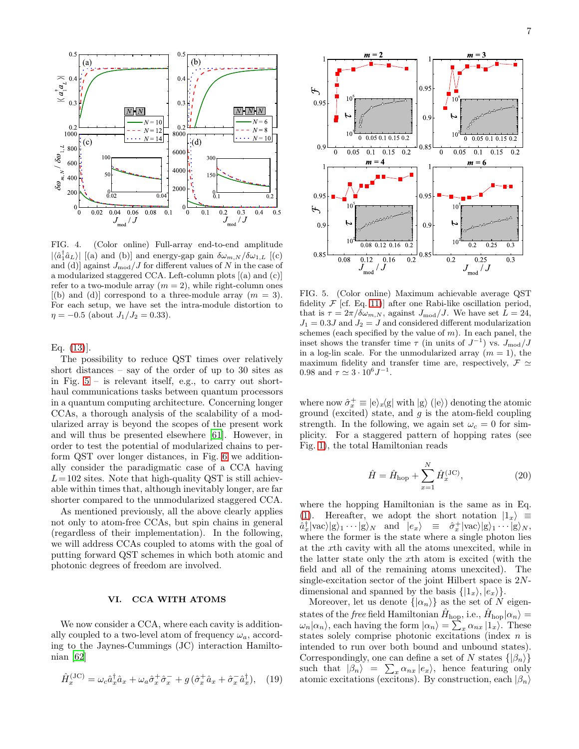

<span id="page-6-1"></span>FIG. 4. (Color online) Full-array end-to-end amplitude  $|\langle \hat{a}_1^{\dagger} \hat{a}_L \rangle|$  [(a) and (b)] and energy-gap gain  $\delta \omega_{m,N}/\delta \omega_{1,L}$  [(c) and (d)] against  $J_{\text{mod}}/J$  for different values of N in the case of a modularized staggered CCA. Left-column plots [(a) and (c)] refer to a two-module array  $(m = 2)$ , while right-column ones  $[(b)$  and  $(d)]$  correspond to a three-module array  $(m = 3)$ . For each setup, we have set the intra-module distortion to  $\eta = -0.5$  (about  $J_1/J_2 = 0.33$ ).

Eq. [\(13\)](#page-3-3)].

The possibility to reduce QST times over relatively short distances – say of the order of up to 30 sites as in Fig.  $5 -$  is relevant itself, e.g., to carry out shorthaul communications tasks between quantum processors in a quantum computing architecture. Concerning longer CCAs, a thorough analysis of the scalability of a modularized array is beyond the scopes of the present work and will thus be presented elsewhere [\[61](#page-11-20)]. However, in order to test the potential of modularized chains to perform QST over longer distances, in Fig. [6](#page-7-0) we additionally consider the paradigmatic case of a CCA having  $L= 102$  sites. Note that high-quality QST is still achievable within times that, although inevitably longer, are far shorter compared to the unmodularized staggered CCA.

As mentioned previously, all the above clearly applies not only to atom-free CCAs, but spin chains in general (regardless of their implementation). In the following, we will address CCAs coupled to atoms with the goal of putting forward QST schemes in which both atomic and photonic degrees of freedom are involved.

## <span id="page-6-0"></span>VI. CCA WITH ATOMS

We now consider a CCA, where each cavity is additionally coupled to a two-level atom of frequency  $\omega_a$ , according to the Jaynes-Cummings (JC) interaction Hamiltonian [\[62\]](#page-11-21)

$$
\hat{H}_x^{(\text{JC})} = \omega_c \hat{a}_x^{\dagger} \hat{a}_x + \omega_a \hat{\sigma}_x^+ \hat{\sigma}_x^- + g \left( \hat{\sigma}_x^+ \hat{a}_x + \hat{\sigma}_x^- \hat{a}_x^{\dagger} \right), \quad (19)
$$



<span id="page-6-2"></span>FIG. 5. (Color online) Maximum achievable average QST fidelity  $\mathcal F$  [cf. Eq. [11\)](#page-3-2)] after one Rabi-like oscillation period, that is  $\tau = 2\pi/\delta\omega_{m,N}$ , against  $J_{\text{mod}}/J$ . We have set  $L = 24$ ,  $J_1 = 0.3J$  and  $J_2 = J$  and considered different modularization schemes (each specified by the value of  $m$ ). In each panel, the inset shows the transfer time  $\tau$  (in units of  $J^{-1}$ ) vs.  $J_{\text{mod}}/J$ in a log-lin scale. For the unmodularized array  $(m = 1)$ , the maximum fidelity and transfer time are, respectively,  $\mathcal{F} \simeq$ 0.98 and  $\tau \simeq 3 \cdot 10^6 J^{-1}$ .

where now  $\hat{\sigma}_x^+ \equiv |e\rangle_x\langle g|$  with  $|g\rangle$  ( $|e\rangle$ ) denoting the atomic ground (excited) state, and  $g$  is the atom-field coupling strength. In the following, we again set  $\omega_c = 0$  for simplicity. For a staggered pattern of hopping rates (see Fig. [1\)](#page-1-1), the total Hamiltonian reads

<span id="page-6-3"></span>
$$
\hat{H} = \hat{H}_{\text{hop}} + \sum_{x=1}^{N} \hat{H}_x^{(\text{JC})},
$$
\n(20)

where the hopping Hamiltonian is the same as in Eq. [\(1\)](#page-1-2). Hereafter, we adopt the short notation  $|1_x\rangle \equiv$  $\hat{a}_x^{\dagger} | \text{vac} \rangle | \text{g} \rangle_1 \cdots | \text{g} \rangle_N$  and  $|e_x\rangle \equiv \hat{\sigma}_x^+ | \text{vac} \rangle | \text{g} \rangle_1 \cdots | \text{g} \rangle_N$ , where the former is the state where a single photon lies at the xth cavity with all the atoms unexcited, while in the latter state only the xth atom is excited (with the field and all of the remaining atoms unexcited). The single-excitation sector of the joint Hilbert space is  $2N$ dimensional and spanned by the basis  $\{|1_x\rangle, |e_x\rangle\}.$ 

Moreover, let us denote  $\{|\alpha_n\rangle\}$  as the set of N eigenstates of the *free* field Hamiltonian  $\hat{H}_{\text{hop}}$ , i.e.,  $\hat{H}_{\text{hop}}|\alpha_n\rangle =$  $\omega_n|\alpha_n\rangle$ , each having the form  $|\alpha_n\rangle = \sum_x \alpha_{nx} |1_x\rangle$ . These states solely comprise photonic excitations (index n is intended to run over both bound and unbound states). Correspondingly, one can define a set of N states  $\{|\beta_n\rangle\}$ such that  $|\beta_n\rangle = \sum_x \alpha_{nx} |e_x\rangle$ , hence featuring only atomic excitations (excitons). By construction, each  $|\beta_n\rangle$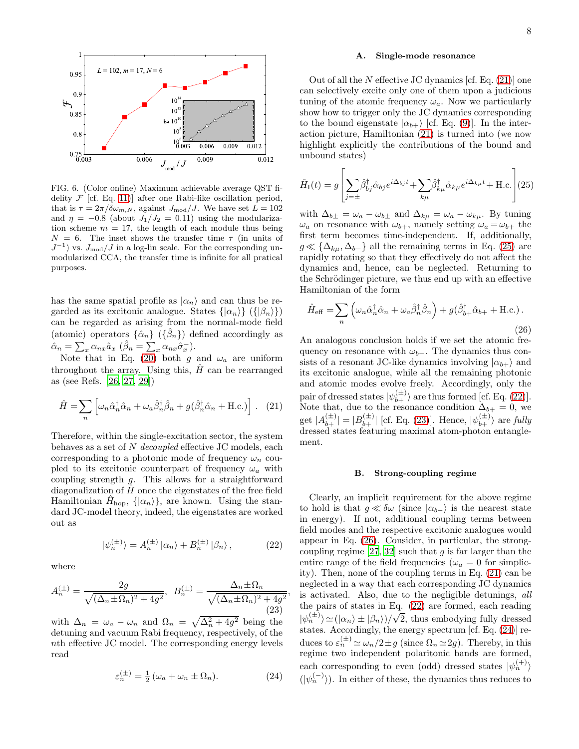

<span id="page-7-0"></span>FIG. 6. (Color online) Maximum achievable average QST fidelity  $\mathcal F$  [cf. Eq. [11\)](#page-3-2)] after one Rabi-like oscillation period, that is  $\tau = 2\pi/\delta\omega_{m,N}$ , against  $J_{\text{mod}}/J$ . We have set  $L = 102$ and  $\eta = -0.8$  (about  $J_1/J_2 = 0.11$ ) using the modularization scheme  $m = 17$ , the length of each module thus being  $N = 6$ . The inset shows the transfer time  $\tau$  (in units of  $J^{-1}$ ) vs.  $J_{\text{mod}}/J$  in a log-lin scale. For the corresponding unmodularized CCA, the transfer time is infinite for all pratical purposes.

has the same spatial profile as  $|\alpha_n\rangle$  and can thus be regarded as its excitonic analogue. States  $\{|\alpha_n\rangle\}$  ( $\{|\beta_n\rangle\}$ ) can be regarded as arising from the normal-mode field (atomic) operators  $\{\hat{\alpha}_n\}$  ( $\{\hat{\beta}_n\}$ ) defined accordingly as  $\hat{\alpha}_n = \sum_x \alpha_{nx} \hat{a}_x \; (\hat{\beta}_n = \sum_x \alpha_{nx} \hat{\sigma}_x^{-}).$ 

Note that in Eq. [\(20\)](#page-6-3) both g and  $\omega_a$  are uniform throughout the array. Using this,  $\hat{H}$  can be rearranged as (see Refs. [\[26,](#page-10-20) [27,](#page-10-17) [29\]](#page-10-18))

<span id="page-7-1"></span>
$$
\hat{H} = \sum_{n} \left[ \omega_n \hat{\alpha}_n^{\dagger} \hat{\alpha}_n + \omega_a \hat{\beta}_n^{\dagger} \hat{\beta}_n + g(\hat{\beta}_n^{\dagger} \hat{\alpha}_n + \text{H.c.}) \right]. \tag{21}
$$

Therefore, within the single-excitation sector, the system behaves as a set of N decoupled effective JC models, each corresponding to a photonic mode of frequency  $\omega_n$  coupled to its excitonic counterpart of frequency  $\omega_a$  with coupling strength g. This allows for a straightforward diagonalization of  $\hat{H}$  once the eigenstates of the free field Hamiltonian  $\hat{H}_{\text{hop}}$ ,  $\{|\alpha_n\rangle\}$ , are known. Using the standard JC-model theory, indeed, the eigenstates are worked out as

<span id="page-7-3"></span>
$$
|\psi_n^{(\pm)}\rangle = A_n^{(\pm)} |\alpha_n\rangle + B_n^{(\pm)} |\beta_n\rangle, \qquad (22)
$$

,

where

<span id="page-7-4"></span>
$$
A_n^{(\pm)} = \frac{2g}{\sqrt{(\Delta_n \pm \Omega_n)^2 + 4g^2}}, \quad B_n^{(\pm)} = \frac{\Delta_n \pm \Omega_n}{\sqrt{(\Delta_n \pm \Omega_n)^2 + 4g^2}} \tag{23}
$$

with  $\Delta_n = \omega_a - \omega_n$  and  $\Omega_n = \sqrt{\Delta_n^2 + 4g^2}$  being the detuning and vacuum Rabi frequency, respectively, of the nth effective JC model. The corresponding energy levels read

<span id="page-7-6"></span>
$$
\varepsilon_n^{(\pm)} = \frac{1}{2} \left( \omega_a + \omega_n \pm \Omega_n \right). \tag{24}
$$

#### <span id="page-7-7"></span>A. Single-mode resonance

Out of all the  $N$  effective JC dynamics [cf. Eq.  $(21)$ ] one can selectively excite only one of them upon a judicious tuning of the atomic frequency  $\omega_a$ . Now we particularly show how to trigger only the JC dynamics corresponding to the bound eigenstate  $|\alpha_{b+}\rangle$  [cf. Eq. [\(9\)](#page-2-3)]. In the interaction picture, Hamiltonian [\(21\)](#page-7-1) is turned into (we now highlight explicitly the contributions of the bound and unbound states)

<span id="page-7-2"></span>
$$
\hat{H}_{\rm I}(t) = g \left[ \sum_{j=\pm} \hat{\beta}_{bj}^{\dagger} \hat{\alpha}_{bj} e^{i\Delta_{bj}t} + \sum_{k\mu} \hat{\beta}_{k\mu}^{\dagger} \hat{\alpha}_{k\mu} e^{i\Delta_{k\mu}t} + \text{H.c.} \right] (25)
$$

with  $\Delta_{b\pm} = \omega_a - \omega_{b\pm}$  and  $\Delta_{k\mu} = \omega_a - \omega_{k\mu}$ . By tuning  $\omega_a$  on resonance with  $\omega_{b+}$ , namely setting  $\omega_a = \omega_{b+}$  the first term becomes time-independent. If, additionally,  $g \ll {\{\Delta_{ku}, \Delta_{b-}\}\}\$ all the remaining terms in Eq. [\(25\)](#page-7-2) are rapidly rotating so that they effectively do not affect the dynamics and, hence, can be neglected. Returning to the Schrödinger picture, we thus end up with an effective Hamiltonian of the form

<span id="page-7-5"></span>
$$
\hat{H}_{\text{eff}} = \sum_{n} \left( \omega_n \hat{\alpha}_n^{\dagger} \hat{\alpha}_n + \omega_a \hat{\beta}_n^{\dagger} \hat{\beta}_n \right) + g(\hat{\beta}_{b+}^{\dagger} \hat{\alpha}_{b+} + \text{H.c.}).
$$
\n(26)

An analogous conclusion holds if we set the atomic frequency on resonance with  $\omega_{b-}$ . The dynamics thus consists of a resonant JC-like dynamics involving  $|\alpha_{b+}\rangle$  and its excitonic analogue, while all the remaining photonic and atomic modes evolve freely. Accordingly, only the pair of dressed states  $|\psi_{b+}^{(\pm)}\rangle$  are thus formed [cf. Eq. [\(22\)](#page-7-3)]. Note that, due to the resonance condition  $\Delta_{b+} = 0$ , we get  $|A_{b+}^{(\pm)}| = |B_{b+}^{(\pm)}|$  [cf. Eq. [\(23\)](#page-7-4)]. Hence,  $|\psi_{b+}^{(\pm)}\rangle$  are fully dressed states featuring maximal atom-photon entanglement.

#### <span id="page-7-8"></span>B. Strong-coupling regime

Clearly, an implicit requirement for the above regime to hold is that  $g \ll \delta \omega$  (since  $|\alpha_{b-}\rangle$  is the nearest state in energy). If not, additional coupling terms between field modes and the respective excitonic analogues would appear in Eq. [\(26\)](#page-7-5). Consider, in particular, the strongcoupling regime  $[27, 32]$  $[27, 32]$  such that g is far larger than the entire range of the field frequencies ( $\omega_a = 0$  for simplicity). Then, none of the coupling terms in Eq. [\(21\)](#page-7-1) can be neglected in a way that each corresponding JC dynamics is activated. Also, due to the negligible detunings, all the pairs of states in Eq. [\(22\)](#page-7-3) are formed, each reading  $|\psi_n^{(\pm)}\rangle \simeq (|\alpha_n\rangle \pm |\beta_n\rangle)/\sqrt{2}$ , thus embodying fully dressed states. Accordingly, the energy spectrum [cf. Eq. [\(24\)](#page-7-6)] reduces to  $\varepsilon_n^{(\pm)} \simeq \omega_n/2 \pm g$  (since  $\Omega_n \simeq 2g$ ). Thereby, in this regime two independent polaritonic bands are formed, each corresponding to even (odd) dressed states  $|\psi_n^{(+)}\rangle$  $(|\psi_n^{(-)}\rangle)$ . In either of these, the dynamics thus reduces to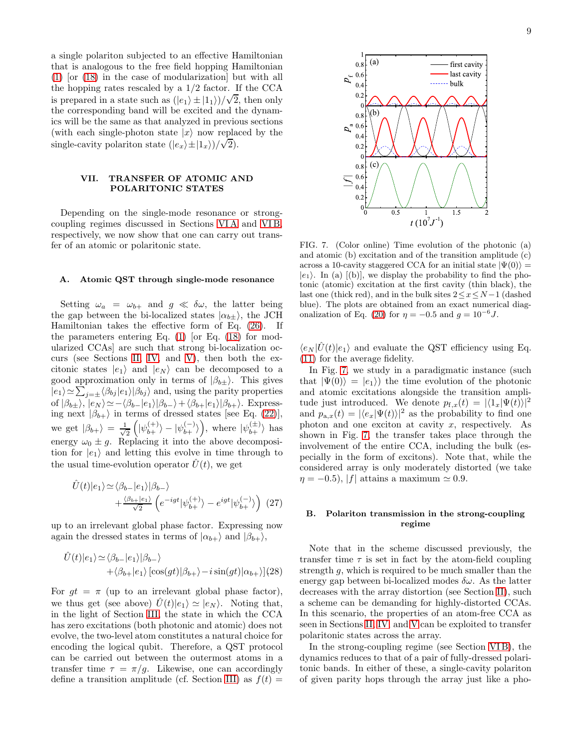a single polariton subjected to an effective Hamiltonian that is analogous to the free field hopping Hamiltonian [\(1\)](#page-1-2) [or [\(18\)](#page-5-2) in the case of modularization] but with all the hopping rates rescaled by a 1/2 factor. If the CCA is prepared in a state such as  $(|e_1\rangle \pm |1_1\rangle)/\sqrt{2}$ , then only the corresponding band will be excited and the dynamics will be the same as that analyzed in previous sections (with each single-photon state  $|x\rangle$  now replaced by the single-cavity polariton state  $(|e_x\rangle \pm |1_x\rangle)/\sqrt{2}$ .

## <span id="page-8-0"></span>VII. TRANSFER OF ATOMIC AND POLARITONIC STATES

Depending on the single-mode resonance or strongcoupling regimes discussed in Sections [VI A](#page-7-7) and [VI B,](#page-7-8) respectively, we now show that one can carry out transfer of an atomic or polaritonic state.

## A. Atomic QST through single-mode resonance

Setting  $\omega_a = \omega_{b+}$  and  $g \ll \delta \omega$ , the latter being the gap between the bi-localized states  $|\alpha_{b\pm}\rangle$ , the JCH Hamiltonian takes the effective form of Eq. [\(26\)](#page-7-5). If the parameters entering Eq.  $(1)$  [or Eq.  $(18)$  for modularized CCAs] are such that strong bi-localization occurs (see Sections [II,](#page-1-0) [IV,](#page-4-0) and [V\)](#page-5-0), then both the excitonic states  $|e_1\rangle$  and  $|e_N\rangle$  can be decomposed to a good approximation only in terms of  $|\beta_{b\pm}\rangle$ . This gives  $|e_1\rangle \simeq \sum_{j=\pm} \langle \beta_{bj} |e_1\rangle |\beta_{bj}\rangle$  and, using the parity properties of  $|\beta_{b\pm}\rangle$ ,  $|e_N\rangle \simeq -\langle \beta_{b-}|e_1\rangle|\beta_{b-}\rangle+\langle \beta_{b+}|e_1\rangle|\beta_{b+}\rangle$ . Expressing next  $|\beta_{b+}\rangle$  in terms of dressed states [see Eq. [\(22\)](#page-7-3)], we get  $|\beta_{b+}\rangle = \frac{1}{\sqrt{2}}$  $\frac{1}{2} \left( |\psi_{b+}^{(+)} \rangle - |\psi_{b+}^{(-)} \rangle \right)$ , where  $|\psi_{b+}^{(\pm)} \rangle$  has energy  $\omega_0 \pm g$ . Replacing it into the above decomposition for  $|e_1\rangle$  and letting this evolve in time through to the usual time-evolution operator  $U(t)$ , we get

$$
\hat{U}(t)|e_1\rangle \simeq \langle \beta_{b-}|e_1\rangle|\beta_{b-}\rangle \n+ \frac{\langle \beta_{b+}|e_1\rangle}{\sqrt{2}} \left(e^{-igt}|\psi_{b+}^{(+)}\rangle - e^{igt}|\psi_{b+}^{(-)}\rangle\right)
$$
(27)

up to an irrelevant global phase factor. Expressing now again the dressed states in terms of  $|\alpha_{b+}\rangle$  and  $|\beta_{b+}\rangle$ ,

$$
\hat{U}(t)|e_1\rangle \simeq \langle \beta_{b-}|e_1\rangle |\beta_{b-}\rangle \n+ \langle \beta_{b+}|e_1\rangle [\cos(gt)|\beta_{b+}\rangle - i \sin(gt)|\alpha_{b+}\rangle](28)
$$

For  $gt = \pi$  (up to an irrelevant global phase factor), we thus get (see above)  $\hat{U}(t)|e_1\rangle \simeq |e_N\rangle$ . Noting that, in the light of Section [III,](#page-2-0) the state in which the CCA has zero excitations (both photonic and atomic) does not evolve, the two-level atom constitutes a natural choice for encoding the logical qubit. Therefore, a QST protocol can be carried out between the outermost atoms in a transfer time  $\tau = \pi/q$ . Likewise, one can accordingly define a transition amplitude (cf. Section [III\)](#page-2-0) as  $f(t) =$ 



<span id="page-8-1"></span>FIG. 7. (Color online) Time evolution of the photonic (a) and atomic (b) excitation and of the transition amplitude (c) across a 10-cavity staggered CCA for an initial state  $|\Psi(0)\rangle$  =  $|e_1\rangle$ . In (a)  $|$ (b), we display the probability to find the photonic (atomic) excitation at the first cavity (thin black), the last one (thick red), and in the bulk sites  $2 \leq x \leq N-1$  (dashed blue). The plots are obtained from an exact numerical diag-onalization of Eq. [\(20\)](#page-6-3) for  $\eta = -0.5$  and  $g = 10^{-6}$  J.

 $\langle e_N|\hat{U}(t)|e_1\rangle$  and evaluate the QST efficiency using Eq. [\(11\)](#page-3-2) for the average fidelity.

In Fig. [7,](#page-8-1) we study in a paradigmatic instance (such that  $|\Psi(0)\rangle = |e_1\rangle$  the time evolution of the photonic and atomic excitations alongside the transition amplitude just introduced. We denote  $p_{f,x}(t) = |\langle 1_x|\Psi(t)\rangle|^2$ and  $p_{a,x}(t) = |\langle e_x|\Psi(t)\rangle|^2$  as the probability to find one photon and one exciton at cavity  $x$ , respectively. As shown in Fig. [7,](#page-8-1) the transfer takes place through the involvement of the entire CCA, including the bulk (especially in the form of excitons). Note that, while the considered array is only moderately distorted (we take  $\eta = -0.5$ , |f| attains a maximum  $\simeq 0.9$ .

#### B. Polariton transmission in the strong-coupling regime

Note that in the scheme discussed previously, the transfer time  $\tau$  is set in fact by the atom-field coupling strength g, which is required to be much smaller than the energy gap between bi-localized modes  $\delta \omega$ . As the latter decreases with the array distortion (see Section [II\)](#page-1-0), such a scheme can be demanding for highly-distorted CCAs. In this scenario, the properties of an atom-free CCA as seen in Sections [II,](#page-1-0) [IV,](#page-4-0) and [V](#page-5-0) can be exploited to transfer polaritonic states across the array.

In the strong-coupling regime (see Section [VI B\)](#page-7-8), the dynamics reduces to that of a pair of fully-dressed polaritonic bands. In either of these, a single-cavity polariton of given parity hops through the array just like a pho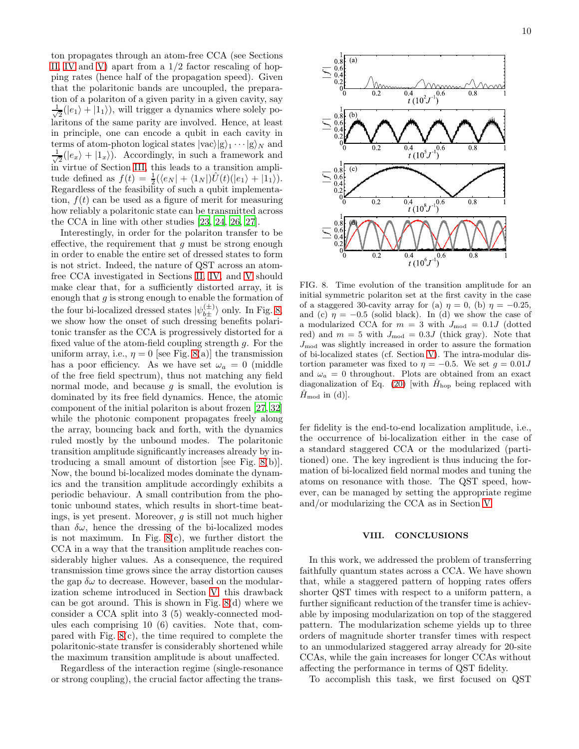ton propagates through an atom-free CCA (see Sections [II,](#page-1-0) [IV](#page-4-0) and [V\)](#page-5-0) apart from a  $1/2$  factor rescaling of hopping rates (hence half of the propagation speed). Given that the polaritonic bands are uncoupled, the preparation of a polariton of a given parity in a given cavity, say √ 1  $\frac{1}{2}(|e_1\rangle + |1_1\rangle)$ , will trigger a dynamics where solely polaritons of the same parity are involved. Hence, at least in principle, one can encode a qubit in each cavity in terms of atom-photon logical states  $|{\rm vac}\rangle|g\rangle_1\cdots|g\rangle_N$  and √ 1  $\frac{1}{2}(|e_x\rangle + |1_x\rangle)$ . Accordingly, in such a framework and in virtue of Section [III,](#page-2-0) this leads to a transition amplitude defined as  $f(t) = \frac{1}{2}(\langle e_N | + \langle 1_N | \hat{U}(t) | e_1 \rangle + | 1_1 \rangle).$ Regardless of the feasibility of such a qubit implementation,  $f(t)$  can be used as a figure of merit for measuring how reliably a polaritonic state can be transmitted across the CCA in line with other studies [\[23,](#page-10-14) [24,](#page-10-22) [26,](#page-10-20) [27\]](#page-10-17).

Interestingly, in order for the polariton transfer to be effective, the requirement that  $g$  must be strong enough in order to enable the entire set of dressed states to form is not strict. Indeed, the nature of QST across an atomfree CCA investigated in Sections [II,](#page-1-0) [IV,](#page-4-0) and [V](#page-5-0) should make clear that, for a sufficiently distorted array, it is enough that  $g$  is strong enough to enable the formation of the four bi-localized dressed states  $|\psi_{b\pm}^{(\pm)}\rangle$  only. In Fig. [8,](#page-9-1) we show how the onset of such dressing benefits polaritonic transfer as the CCA is progressively distorted for a fixed value of the atom-field coupling strength g. For the uniform array, i.e.,  $\eta = 0$  [see Fig. [8\(](#page-9-1)a)] the transmission has a poor efficiency. As we have set  $\omega_a = 0$  (middle of the free field spectrum), thus not matching any field normal mode, and because  $q$  is small, the evolution is dominated by its free field dynamics. Hence, the atomic component of the initial polariton is about frozen [\[27,](#page-10-17) [32](#page-10-21)] while the photonic component propagates freely along the array, bouncing back and forth, with the dynamics ruled mostly by the unbound modes. The polaritonic transition amplitude significantly increases already by introducing a small amount of distortion [see Fig. [8\(](#page-9-1)b)]. Now, the bound bi-localized modes dominate the dynamics and the transition amplitude accordingly exhibits a periodic behaviour. A small contribution from the photonic unbound states, which results in short-time beatings, is yet present. Moreover, g is still not much higher than  $\delta\omega$ , hence the dressing of the bi-localized modes is not maximum. In Fig. [8\(](#page-9-1)c), we further distort the CCA in a way that the transition amplitude reaches considerably higher values. As a consequence, the required transmission time grows since the array distortion causes the gap  $\delta\omega$  to decrease. However, based on the modularization scheme introduced in Section [V,](#page-5-0) this drawback can be got around. This is shown in Fig. [8\(](#page-9-1)d) where we consider a CCA split into 3 (5) weakly-connected modules each comprising 10 (6) cavities. Note that, compared with Fig. [8\(](#page-9-1)c), the time required to complete the polaritonic-state transfer is considerably shortened while the maximum transition amplitude is about unaffected.

Regardless of the interaction regime (single-resonance or strong coupling), the crucial factor affecting the trans-



<span id="page-9-1"></span>FIG. 8. Time evolution of the transition amplitude for an initial symmetric polariton set at the first cavity in the case of a staggered 30-cavity array for (a)  $\eta = 0$ , (b)  $\eta = -0.25$ , and (c)  $\eta = -0.5$  (solid black). In (d) we show the case of a modularized CCA for  $m = 3$  with  $J_{\text{mod}} = 0.1J$  (dotted red) and  $m = 5$  with  $J_{\text{mod}} = 0.3J$  (thick gray). Note that  $J_{\text{mod}}$  was slightly increased in order to assure the formation of bi-localized states (cf. Section [V\)](#page-5-0). The intra-modular distortion parameter was fixed to  $\eta = -0.5$ . We set  $g = 0.01J$ and  $\omega_a = 0$  throughout. Plots are obtained from an exact diagonalization of Eq. [\(20\)](#page-6-3) with  $\hat{H}_{\text{hop}}$  being replaced with  $H_{\text{mod}}$  in (d)].

fer fidelity is the end-to-end localization amplitude, i.e., the occurrence of bi-localization either in the case of a standard staggered CCA or the modularized (partitioned) one. The key ingredient is thus inducing the formation of bi-localized field normal modes and tuning the atoms on resonance with those. The QST speed, however, can be managed by setting the appropriate regime and/or modularizing the CCA as in Section [V.](#page-5-0)

#### <span id="page-9-0"></span>VIII. CONCLUSIONS

In this work, we addressed the problem of transferring faithfully quantum states across a CCA. We have shown that, while a staggered pattern of hopping rates offers shorter QST times with respect to a uniform pattern, a further significant reduction of the transfer time is achievable by imposing modularization on top of the staggered pattern. The modularization scheme yields up to three orders of magnitude shorter transfer times with respect to an unmodularized staggered array already for 20-site CCAs, while the gain increases for longer CCAs without affecting the performance in terms of QST fidelity.

To accomplish this task, we first focused on QST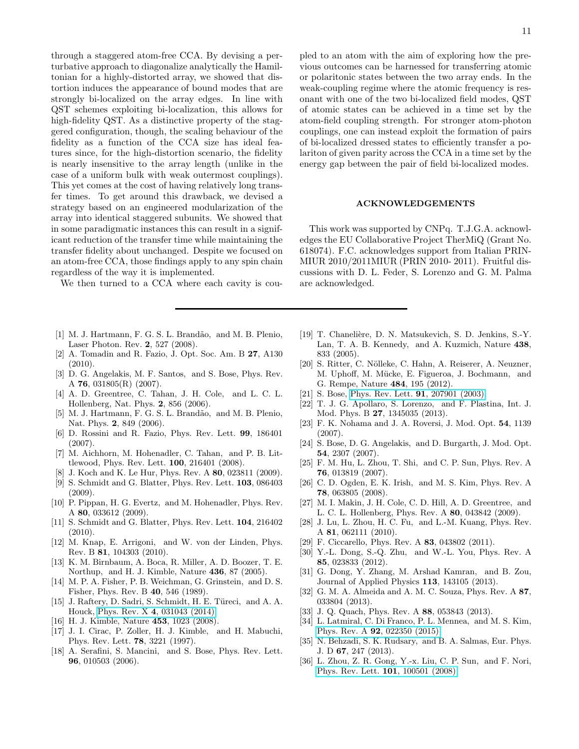through a staggered atom-free CCA. By devising a perturbative approach to diagonalize analytically the Hamiltonian for a highly-distorted array, we showed that distortion induces the appearance of bound modes that are strongly bi-localized on the array edges. In line with QST schemes exploiting bi-localization, this allows for high-fidelity QST. As a distinctive property of the staggered configuration, though, the scaling behaviour of the fidelity as a function of the CCA size has ideal features since, for the high-distortion scenario, the fidelity is nearly insensitive to the array length (unlike in the case of a uniform bulk with weak outermost couplings). This yet comes at the cost of having relatively long transfer times. To get around this drawback, we devised a strategy based on an engineered modularization of the array into identical staggered subunits. We showed that in some paradigmatic instances this can result in a significant reduction of the transfer time while maintaining the transfer fidelity about unchanged. Despite we focused on an atom-free CCA, those findings apply to any spin chain regardless of the way it is implemented.

We then turned to a CCA where each cavity is cou-

- <span id="page-10-0"></span>[1] M. J. Hartmann, F. G. S. L. Brandão, and M. B. Plenio, Laser Photon. Rev. 2, 527 (2008).
- <span id="page-10-1"></span>[2] A. Tomadin and R. Fazio, J. Opt. Soc. Am. B 27, A130  $(2010).$
- <span id="page-10-2"></span>[3] D. G. Angelakis, M. F. Santos, and S. Bose, Phys. Rev. A 76, 031805(R) (2007).
- <span id="page-10-3"></span>[4] A. D. Greentree, C. Tahan, J. H. Cole, and L. C. L. Hollenberg, Nat. Phys. 2, 856 (2006).
- [5] M. J. Hartmann, F. G. S. L. Brandão, and M. B. Plenio, Nat. Phys. 2, 849 (2006).
- [6] D. Rossini and R. Fazio, Phys. Rev. Lett. 99, 186401 (2007).
- [7] M. Aichhorn, M. Hohenadler, C. Tahan, and P. B. Littlewood, Phys. Rev. Lett. 100, 216401 (2008).
- [8] J. Koch and K. Le Hur, Phys. Rev. A 80, 023811 (2009).
- [9] S. Schmidt and G. Blatter, Phys. Rev. Lett. 103, 086403 (2009).
- [10] P. Pippan, H. G. Evertz, and M. Hohenadler, Phys. Rev. A 80, 033612 (2009).
- [11] S. Schmidt and G. Blatter, Phys. Rev. Lett. 104, 216402  $(2010).$
- <span id="page-10-4"></span>[12] M. Knap, E. Arrigoni, and W. von der Linden, Phys. Rev. B 81, 104303 (2010).
- <span id="page-10-5"></span>[13] K. M. Birnbaum, A. Boca, R. Miller, A. D. Boozer, T. E. Northup, and H. J. Kimble, Nature 436, 87 (2005).
- <span id="page-10-6"></span>[14] M. P. A. Fisher, P. B. Weichman, G. Grinstein, and D. S. Fisher, Phys. Rev. B 40, 546 (1989).
- <span id="page-10-7"></span>[15] J. Raftery, D. Sadri, S. Schmidt, H. E. Türeci, and A. A. Houck, Phys. Rev. X 4[, 031043 \(2014\).](http://dx.doi.org/ 10.1103/PhysRevX.4.031043)
- <span id="page-10-8"></span>[16] H. J. Kimble, Nature 453, 1023 (2008).
- [17] J. I. Cirac, P. Zoller, H. J. Kimble, and H. Mabuchi, Phys. Rev. Lett. 78, 3221 (1997).
- <span id="page-10-9"></span>[18] A. Serafini, S. Mancini, and S. Bose, Phys. Rev. Lett. 96, 010503 (2006).

11

pled to an atom with the aim of exploring how the previous outcomes can be harnessed for transferring atomic or polaritonic states between the two array ends. In the weak-coupling regime where the atomic frequency is resonant with one of the two bi-localized field modes, QST of atomic states can be achieved in a time set by the atom-field coupling strength. For stronger atom-photon couplings, one can instead exploit the formation of pairs of bi-localized dressed states to efficiently transfer a polariton of given parity across the CCA in a time set by the energy gap between the pair of field bi-localized modes.

#### ACKNOWLEDGEMENTS

This work was supported by CNPq. T.J.G.A. acknowledges the EU Collaborative Project TherMiQ (Grant No. 618074). F.C. acknowledges support from Italian PRIN-MIUR 2010/2011MIUR (PRIN 2010- 2011). Fruitful discussions with D. L. Feder, S. Lorenzo and G. M. Palma are acknowledged.

- <span id="page-10-10"></span>[19] T. Chanelière, D. N. Matsukevich, S. D. Jenkins, S.-Y. Lan, T. A. B. Kennedy, and A. Kuzmich, Nature 438, 833 (2005).
- <span id="page-10-11"></span>[20] S. Ritter, C. Nölleke, C. Hahn, A. Reiserer, A. Neuzner, M. Uphoff, M. Mücke, E. Figueroa, J. Bochmann, and G. Rempe, Nature 484, 195 (2012).
- <span id="page-10-12"></span>[21] S. Bose, [Phys. Rev. Lett.](http://dx.doi.org/10.1103/PhysRevLett.91.207901) **91**, 207901 (2003).
- <span id="page-10-13"></span>[22] T. J. G. Apollaro, S. Lorenzo, and F. Plastina, Int. J. Mod. Phys. B 27, 1345035 (2013).
- <span id="page-10-14"></span>[23] F. K. Nohama and J. A. Roversi, J. Mod. Opt. 54, 1139 (2007).
- <span id="page-10-22"></span>[24] S. Bose, D. G. Angelakis, and D. Burgarth, J. Mod. Opt. 54, 2307 (2007).
- [25] F. M. Hu, L. Zhou, T. Shi, and C. P. Sun, Phys. Rev. A 76, 013819 (2007).
- <span id="page-10-20"></span>[26] C. D. Ogden, E. K. Irish, and M. S. Kim, Phys. Rev. A 78, 063805 (2008).
- <span id="page-10-17"></span>[27] M. I. Makin, J. H. Cole, C. D. Hill, A. D. Greentree, and L. C. L. Hollenberg, Phys. Rev. A 80, 043842 (2009).
- [28] J. Lu, L. Zhou, H. C. Fu, and L.-M. Kuang, Phys. Rev. A 81, 062111 (2010).
- <span id="page-10-18"></span>[29] F. Ciccarello, Phys. Rev. A **83**, 043802 (2011).
- [30] Y.-L. Dong, S.-Q. Zhu, and W.-L. You, Phys. Rev. A 85, 023833 (2012).
- [31] G. Dong, Y. Zhang, M. Arshad Kamran, and B. Zou, Journal of Applied Physics 113, 143105 (2013).
- <span id="page-10-21"></span>[32] G. M. A. Almeida and A. M. C. Souza, Phys. Rev. A 87, 033804 (2013).
- [33] J. Q. Quach, Phys. Rev. A 88, 053843 (2013).
- <span id="page-10-19"></span>[34] L. Latmiral, C. Di Franco, P. L. Mennea, and M. S. Kim, Phys. Rev. A 92[, 022350 \(2015\).](http://dx.doi.org/10.1080/09500349414552171)
- <span id="page-10-15"></span>[35] N. Behzadi, S. K. Rudsary, and B. A. Salmas, Eur. Phys. J. D 67, 247 (2013).
- <span id="page-10-16"></span>[36] L. Zhou, Z. R. Gong, Y.-x. Liu, C. P. Sun, and F. Nori, [Phys. Rev. Lett.](http://dx.doi.org/ 10.1103/PhysRevLett.101.100501) 101, 100501 (2008).